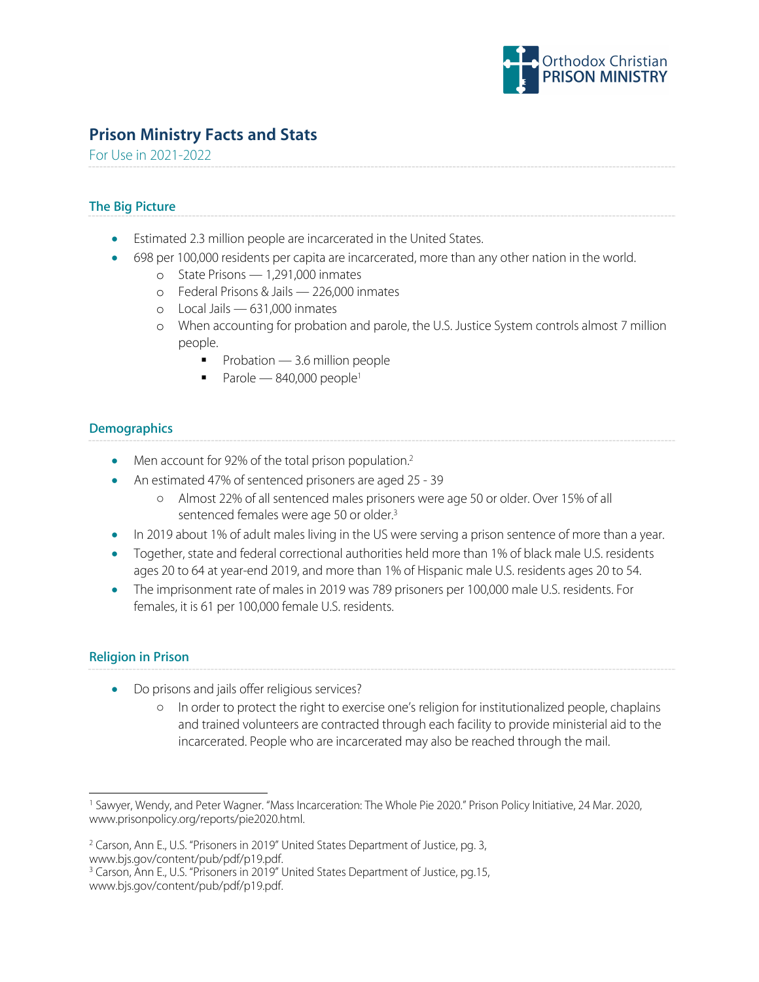

# **Prison Ministry Facts and Stats**

For Use in 2021-2022

## **The Big Picture**

- Estimated 2.3 million people are incarcerated in the United States.
- 698 per 100,000 residents per capita are incarcerated, more than any other nation in the world.
	- o State Prisons 1,291,000 inmates
	- o Federal Prisons & Jails 226,000 inmates
	- o Local Jails 631,000 inmates
	- o When accounting for probation and parole, the U.S. Justice System controls almost 7 million people.
		- Probation 3.6 million people
		- Parole  $-840,000$  people<sup>1</sup>

## **Demographics**

- Men account for 92% of the total prison population.<sup>2</sup>
- An estimated 47% of sentenced prisoners are aged 25 39
	- Almost 22% of all sentenced males prisoners were age 50 or older. Over 15% of all sentenced females were age 50 or older. 3
- In 2019 about 1% of adult males living in the US were serving a prison sentence of more than a year.
- Together, state and federal correctional authorities held more than 1% of black male U.S. residents ages 20 to 64 at year-end 2019, and more than 1% of Hispanic male U.S. residents ages 20 to 54.
- The imprisonment rate of males in 2019 was 789 prisoners per 100,000 male U.S. residents. For females, it is 61 per 100,000 female U.S. residents.

#### **Religion in Prison**

- Do prisons and jails offer religious services?
	- In order to protect the right to exercise one's religion for institutionalized people, chaplains and trained volunteers are contracted through each facility to provide ministerial aid to the incarcerated. People who are incarcerated may also be reached through the mail.

<sup>1</sup> Sawyer, Wendy, and Peter Wagner. "Mass Incarceration: The Whole Pie 2020." Prison Policy Initiative, 24 Mar. 2020, www.prisonpolicy.org/reports/pie2020.html.

<sup>&</sup>lt;sup>2</sup> Carson, Ann E., U.S. "Prisoners in 2019" United States Department of Justice, pg. 3, www.bjs.gov/content/pub/pdf/p19.pdf.

<sup>&</sup>lt;sup>3</sup> Carson, Ann E., U.S. "Prisoners in 2019" United States Department of Justice, pg.15, www.bjs.gov/content/pub/pdf/p19.pdf.